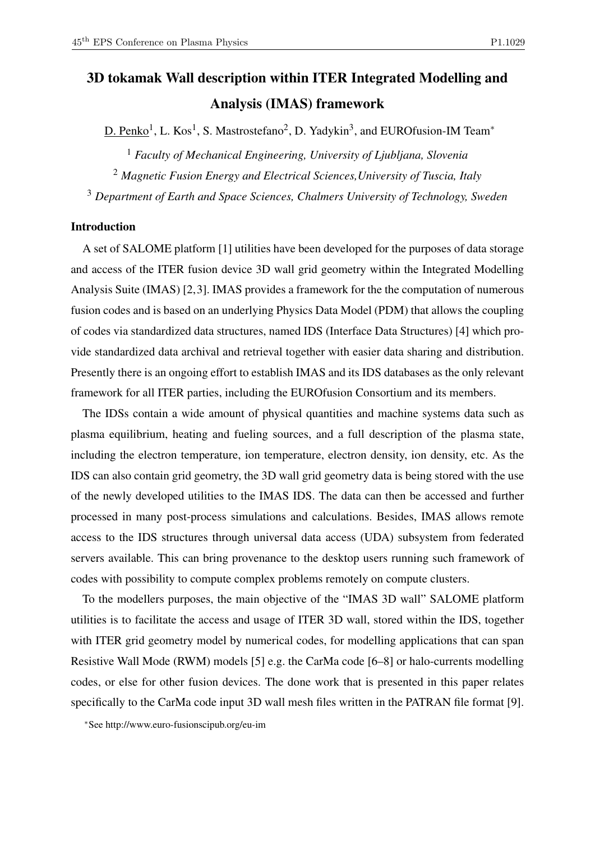# 3D tokamak Wall description within ITER Integrated Modelling and Analysis (IMAS) framework

 $D.$  Penko<sup>1</sup>, L. Kos<sup>1</sup>, S. Mastrostefano<sup>2</sup>, D. Yadykin<sup>3</sup>, and EUROfusion-IM Team<sup>\*</sup>

<sup>1</sup> *Faculty of Mechanical Engineering, University of Ljubljana, Slovenia* <sup>2</sup> *Magnetic Fusion Energy and Electrical Sciences,University of Tuscia, Italy* <sup>3</sup> *Department of Earth and Space Sciences, Chalmers University of Technology, Sweden*

# Introduction

A set of SALOME platform [1] utilities have been developed for the purposes of data storage and access of the ITER fusion device 3D wall grid geometry within the Integrated Modelling Analysis Suite (IMAS) [2,3]. IMAS provides a framework for the the computation of numerous fusion codes and is based on an underlying Physics Data Model (PDM) that allows the coupling of codes via standardized data structures, named IDS (Interface Data Structures) [4] which provide standardized data archival and retrieval together with easier data sharing and distribution. Presently there is an ongoing effort to establish IMAS and its IDS databases as the only relevant framework for all ITER parties, including the EUROfusion Consortium and its members.

The IDSs contain a wide amount of physical quantities and machine systems data such as plasma equilibrium, heating and fueling sources, and a full description of the plasma state, including the electron temperature, ion temperature, electron density, ion density, etc. As the IDS can also contain grid geometry, the 3D wall grid geometry data is being stored with the use of the newly developed utilities to the IMAS IDS. The data can then be accessed and further processed in many post-process simulations and calculations. Besides, IMAS allows remote access to the IDS structures through universal data access (UDA) subsystem from federated servers available. This can bring provenance to the desktop users running such framework of codes with possibility to compute complex problems remotely on compute clusters.

To the modellers purposes, the main objective of the "IMAS 3D wall" SALOME platform utilities is to facilitate the access and usage of ITER 3D wall, stored within the IDS, together with ITER grid geometry model by numerical codes, for modelling applications that can span Resistive Wall Mode (RWM) models [5] e.g. the CarMa code [6–8] or halo-currents modelling codes, or else for other fusion devices. The done work that is presented in this paper relates specifically to the CarMa code input 3D wall mesh files written in the PATRAN file format [9].

<sup>∗</sup>See http://www.euro-fusionscipub.org/eu-im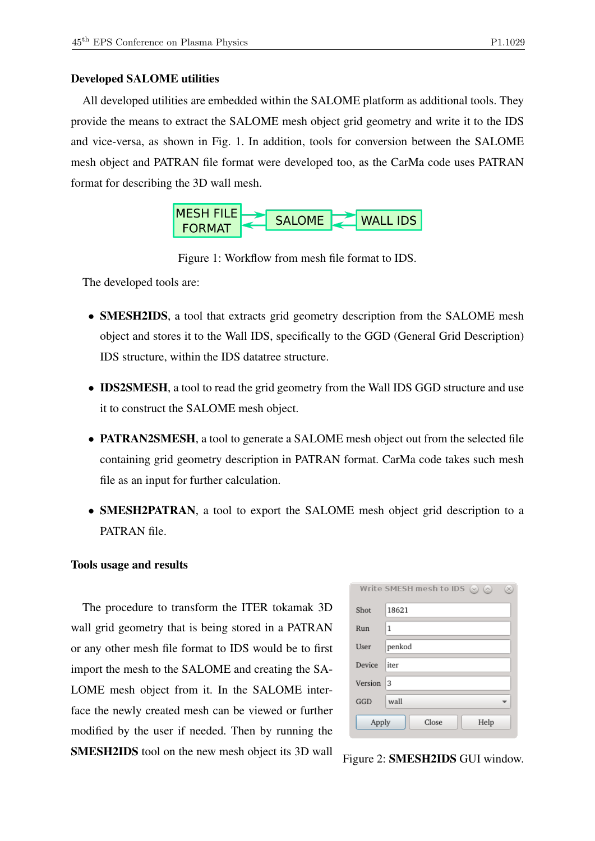## Developed SALOME utilities

All developed utilities are embedded within the SALOME platform as additional tools. They provide the means to extract the SALOME mesh object grid geometry and write it to the IDS and vice-versa, as shown in Fig. 1. In addition, tools for conversion between the SALOME mesh object and PATRAN file format were developed too, as the CarMa code uses PATRAN format for describing the 3D wall mesh.



Figure 1: Workflow from mesh file format to IDS.

The developed tools are:

- **SMESH2IDS**, a tool that extracts grid geometry description from the SALOME mesh object and stores it to the Wall IDS, specifically to the GGD (General Grid Description) IDS structure, within the IDS datatree structure.
- **IDS2SMESH**, a tool to read the grid geometry from the Wall IDS GGD structure and use it to construct the SALOME mesh object.
- PATRAN2SMESH, a tool to generate a SALOME mesh object out from the selected file containing grid geometry description in PATRAN format. CarMa code takes such mesh file as an input for further calculation.
- SMESH2PATRAN, a tool to export the SALOME mesh object grid description to a PATRAN file.

## Tools usage and results

The procedure to transform the ITER tokamak 3D wall grid geometry that is being stored in a PATRAN or any other mesh file format to IDS would be to first import the mesh to the SALOME and creating the SA-LOME mesh object from it. In the SALOME interface the newly created mesh can be viewed or further modified by the user if needed. Then by running the SMESH2IDS tool on the new mesh object its 3D wall

| Write SMESH mesh to IDS $(\vee)$ $(\wedge)$<br>$\times$ |        |
|---------------------------------------------------------|--------|
| Shot                                                    | 18621  |
| Run                                                     | 1      |
| User                                                    | penkod |
| Device                                                  | iter   |
| Version                                                 | 3      |
| GGD                                                     | wall   |
| Close<br>Help<br>Apply                                  |        |

Figure 2: SMESH2IDS GUI window.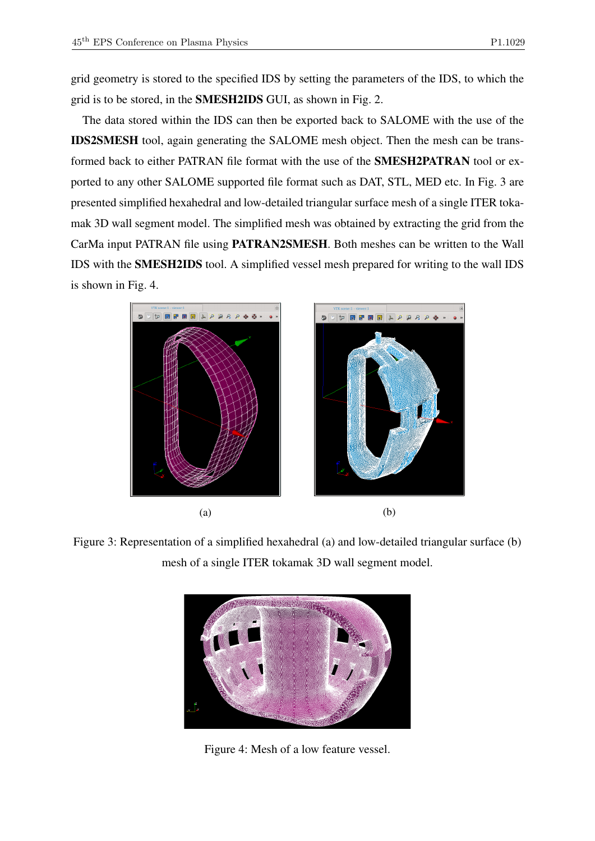grid geometry is stored to the specified IDS by setting the parameters of the IDS, to which the grid is to be stored, in the SMESH2IDS GUI, as shown in Fig. 2.

The data stored within the IDS can then be exported back to SALOME with the use of the IDS2SMESH tool, again generating the SALOME mesh object. Then the mesh can be transformed back to either PATRAN file format with the use of the SMESH2PATRAN tool or exported to any other SALOME supported file format such as DAT, STL, MED etc. In Fig. 3 are presented simplified hexahedral and low-detailed triangular surface mesh of a single ITER tokamak 3D wall segment model. The simplified mesh was obtained by extracting the grid from the CarMa input PATRAN file using PATRAN2SMESH. Both meshes can be written to the Wall IDS with the SMESH2IDS tool. A simplified vessel mesh prepared for writing to the wall IDS is shown in Fig. 4.



Figure 3: Representation of a simplified hexahedral (a) and low-detailed triangular surface (b) mesh of a single ITER tokamak 3D wall segment model.



Figure 4: Mesh of a low feature vessel.